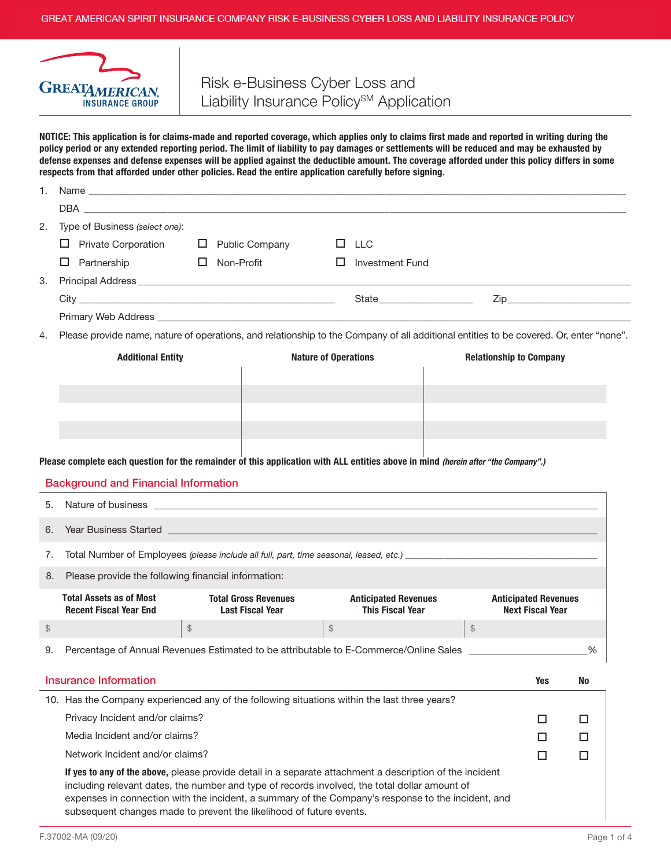

# Risk e-Business Cyber Loss and Liability Insurance Policy<sup>SM</sup> Application

NOTICE: This application is for claims-made and reported coverage, which applies only to claims first made and reported in writing during the policy period or any extended reporting period. The limit of liability to pay damages or settlements will be reduced and may be exhausted by defense expenses and defense expenses will be applied against the deductible amount. The coverage afforded under this policy differs in some respects from that afforded under other policies. Read the entire application carefully before signing.

| 1.                                                                                           |                                                                                                                                                                                                                                                                                                                                                                                        |                                                                                                                  |                                                         |                                                                                                                  |                                                                                                                                        |     |        |  |  |  |
|----------------------------------------------------------------------------------------------|----------------------------------------------------------------------------------------------------------------------------------------------------------------------------------------------------------------------------------------------------------------------------------------------------------------------------------------------------------------------------------------|------------------------------------------------------------------------------------------------------------------|---------------------------------------------------------|------------------------------------------------------------------------------------------------------------------|----------------------------------------------------------------------------------------------------------------------------------------|-----|--------|--|--|--|
|                                                                                              |                                                                                                                                                                                                                                                                                                                                                                                        |                                                                                                                  |                                                         |                                                                                                                  |                                                                                                                                        |     |        |  |  |  |
| 2.                                                                                           | Type of Business (select one):                                                                                                                                                                                                                                                                                                                                                         |                                                                                                                  |                                                         |                                                                                                                  |                                                                                                                                        |     |        |  |  |  |
|                                                                                              | $\Box$ Private Corporation                                                                                                                                                                                                                                                                                                                                                             | $\Box$ Public Company                                                                                            |                                                         | $\Box$ LLC                                                                                                       |                                                                                                                                        |     |        |  |  |  |
|                                                                                              | □.<br>Partnership                                                                                                                                                                                                                                                                                                                                                                      | $\Box$ Non-Profit                                                                                                | $\Box$                                                  | <b>Investment Fund</b>                                                                                           |                                                                                                                                        |     |        |  |  |  |
| 3.                                                                                           | Principal Address <b>contract and the Contract of Address</b> and The Principal Address and The Contract of The Contract of The Contract of The Contract of The Contract of The Contract of The Contract of The Contract of The Con                                                                                                                                                    |                                                                                                                  |                                                         |                                                                                                                  |                                                                                                                                        |     |        |  |  |  |
|                                                                                              |                                                                                                                                                                                                                                                                                                                                                                                        |                                                                                                                  |                                                         | State <b>State State State</b>                                                                                   |                                                                                                                                        |     |        |  |  |  |
|                                                                                              |                                                                                                                                                                                                                                                                                                                                                                                        |                                                                                                                  |                                                         |                                                                                                                  |                                                                                                                                        |     |        |  |  |  |
| 4.                                                                                           |                                                                                                                                                                                                                                                                                                                                                                                        |                                                                                                                  |                                                         |                                                                                                                  | Please provide name, nature of operations, and relationship to the Company of all additional entities to be covered. Or, enter "none". |     |        |  |  |  |
|                                                                                              | <b>Additional Entity</b><br><b>Nature of Operations</b><br><b>Relationship to Company</b>                                                                                                                                                                                                                                                                                              |                                                                                                                  |                                                         |                                                                                                                  |                                                                                                                                        |     |        |  |  |  |
|                                                                                              |                                                                                                                                                                                                                                                                                                                                                                                        |                                                                                                                  |                                                         |                                                                                                                  |                                                                                                                                        |     |        |  |  |  |
|                                                                                              |                                                                                                                                                                                                                                                                                                                                                                                        |                                                                                                                  |                                                         |                                                                                                                  |                                                                                                                                        |     |        |  |  |  |
|                                                                                              |                                                                                                                                                                                                                                                                                                                                                                                        |                                                                                                                  |                                                         |                                                                                                                  |                                                                                                                                        |     |        |  |  |  |
|                                                                                              |                                                                                                                                                                                                                                                                                                                                                                                        |                                                                                                                  |                                                         |                                                                                                                  |                                                                                                                                        |     |        |  |  |  |
|                                                                                              |                                                                                                                                                                                                                                                                                                                                                                                        |                                                                                                                  |                                                         |                                                                                                                  |                                                                                                                                        |     |        |  |  |  |
|                                                                                              | Please complete each question for the remainder of this application with ALL entities above in mind (herein after "the Company".)                                                                                                                                                                                                                                                      |                                                                                                                  |                                                         |                                                                                                                  |                                                                                                                                        |     |        |  |  |  |
|                                                                                              | <b>Background and Financial Information</b>                                                                                                                                                                                                                                                                                                                                            |                                                                                                                  |                                                         |                                                                                                                  |                                                                                                                                        |     |        |  |  |  |
|                                                                                              |                                                                                                                                                                                                                                                                                                                                                                                        |                                                                                                                  |                                                         | and the control of the control of the control of the control of the control of the control of the control of the |                                                                                                                                        |     |        |  |  |  |
| 5.                                                                                           |                                                                                                                                                                                                                                                                                                                                                                                        |                                                                                                                  |                                                         |                                                                                                                  |                                                                                                                                        |     |        |  |  |  |
| 6.                                                                                           | <b>The Secret State of the State of the Contract Contract Contract Contract Contract Contract Contract Contract Contract Contract Contract Contract Contract Contract Contract Contract Contract Contract Contract Contract Cont</b>                                                                                                                                                   |                                                                                                                  |                                                         |                                                                                                                  |                                                                                                                                        |     |        |  |  |  |
| 7.                                                                                           |                                                                                                                                                                                                                                                                                                                                                                                        |                                                                                                                  |                                                         |                                                                                                                  |                                                                                                                                        |     |        |  |  |  |
| 8.                                                                                           |                                                                                                                                                                                                                                                                                                                                                                                        | Please provide the following financial information:                                                              |                                                         |                                                                                                                  |                                                                                                                                        |     |        |  |  |  |
|                                                                                              | <b>Total Assets as of Most</b>                                                                                                                                                                                                                                                                                                                                                         | <b>Anticipated Revenues</b>                                                                                      |                                                         |                                                                                                                  |                                                                                                                                        |     |        |  |  |  |
|                                                                                              | <b>Recent Fiscal Year End</b>                                                                                                                                                                                                                                                                                                                                                          | <b>Total Gross Revenues</b><br><b>Anticipated Revenues</b><br><b>Last Fiscal Year</b><br><b>This Fiscal Year</b> |                                                         |                                                                                                                  | <b>Next Fiscal Year</b>                                                                                                                |     |        |  |  |  |
| \$                                                                                           | $\, \, \raisebox{-1.5pt}{\text{\circle*{1.5}}}\,$                                                                                                                                                                                                                                                                                                                                      |                                                                                                                  | $\, \, \raisebox{-1.5pt}{\rlap{$\scriptstyle\circ$}}\,$ |                                                                                                                  | \$                                                                                                                                     |     |        |  |  |  |
| 9.                                                                                           | Percentage of Annual Revenues Estimated to be attributable to E-Commerce/Online Sales                                                                                                                                                                                                                                                                                                  |                                                                                                                  |                                                         | %                                                                                                                |                                                                                                                                        |     |        |  |  |  |
|                                                                                              |                                                                                                                                                                                                                                                                                                                                                                                        |                                                                                                                  |                                                         |                                                                                                                  |                                                                                                                                        |     |        |  |  |  |
|                                                                                              | <b>Insurance Information</b>                                                                                                                                                                                                                                                                                                                                                           |                                                                                                                  |                                                         |                                                                                                                  |                                                                                                                                        | Yes | No     |  |  |  |
| 10. Has the Company experienced any of the following situations within the last three years? |                                                                                                                                                                                                                                                                                                                                                                                        |                                                                                                                  |                                                         |                                                                                                                  |                                                                                                                                        |     |        |  |  |  |
|                                                                                              | Privacy Incident and/or claims?                                                                                                                                                                                                                                                                                                                                                        |                                                                                                                  |                                                         |                                                                                                                  |                                                                                                                                        | □   | □      |  |  |  |
|                                                                                              | Media Incident and/or claims?                                                                                                                                                                                                                                                                                                                                                          |                                                                                                                  |                                                         |                                                                                                                  |                                                                                                                                        | □   | □      |  |  |  |
|                                                                                              | Network Incident and/or claims?                                                                                                                                                                                                                                                                                                                                                        |                                                                                                                  |                                                         |                                                                                                                  |                                                                                                                                        | □   | $\Box$ |  |  |  |
|                                                                                              | If yes to any of the above, please provide detail in a separate attachment a description of the incident<br>including relevant dates, the number and type of records involved, the total dollar amount of<br>expenses in connection with the incident, a summary of the Company's response to the incident, and<br>subsequent changes made to prevent the likelihood of future events. |                                                                                                                  |                                                         |                                                                                                                  |                                                                                                                                        |     |        |  |  |  |
|                                                                                              |                                                                                                                                                                                                                                                                                                                                                                                        |                                                                                                                  |                                                         |                                                                                                                  |                                                                                                                                        |     |        |  |  |  |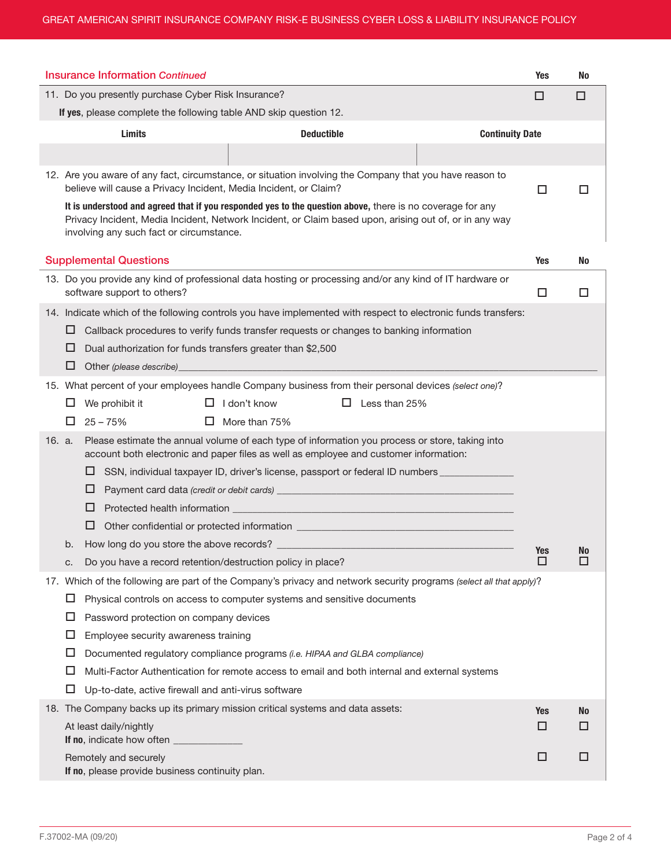|                                                                                                                                                                                                                                                                 |                                                                                                                                                                                                    | <b>Insurance Information Continued</b>                                                                                                                                      | <b>Yes</b> | No |  |  |  |
|-----------------------------------------------------------------------------------------------------------------------------------------------------------------------------------------------------------------------------------------------------------------|----------------------------------------------------------------------------------------------------------------------------------------------------------------------------------------------------|-----------------------------------------------------------------------------------------------------------------------------------------------------------------------------|------------|----|--|--|--|
| 11. Do you presently purchase Cyber Risk Insurance?                                                                                                                                                                                                             |                                                                                                                                                                                                    |                                                                                                                                                                             |            |    |  |  |  |
| If yes, please complete the following table AND skip question 12.                                                                                                                                                                                               |                                                                                                                                                                                                    |                                                                                                                                                                             |            |    |  |  |  |
|                                                                                                                                                                                                                                                                 | <b>Continuity Date</b>                                                                                                                                                                             |                                                                                                                                                                             |            |    |  |  |  |
|                                                                                                                                                                                                                                                                 |                                                                                                                                                                                                    |                                                                                                                                                                             |            |    |  |  |  |
|                                                                                                                                                                                                                                                                 |                                                                                                                                                                                                    | 12. Are you aware of any fact, circumstance, or situation involving the Company that you have reason to<br>believe will cause a Privacy Incident, Media Incident, or Claim? | □          |    |  |  |  |
| It is understood and agreed that if you responded yes to the question above, there is no coverage for any<br>Privacy Incident, Media Incident, Network Incident, or Claim based upon, arising out of, or in any way<br>involving any such fact or circumstance. |                                                                                                                                                                                                    |                                                                                                                                                                             |            |    |  |  |  |
|                                                                                                                                                                                                                                                                 |                                                                                                                                                                                                    | <b>Supplemental Questions</b>                                                                                                                                               | <b>Yes</b> | No |  |  |  |
|                                                                                                                                                                                                                                                                 |                                                                                                                                                                                                    | 13. Do you provide any kind of professional data hosting or processing and/or any kind of IT hardware or<br>software support to others?                                     | □          | □  |  |  |  |
|                                                                                                                                                                                                                                                                 |                                                                                                                                                                                                    | 14. Indicate which of the following controls you have implemented with respect to electronic funds transfers:                                                               |            |    |  |  |  |
|                                                                                                                                                                                                                                                                 | ⊔                                                                                                                                                                                                  | Callback procedures to verify funds transfer requests or changes to banking information                                                                                     |            |    |  |  |  |
|                                                                                                                                                                                                                                                                 | ப                                                                                                                                                                                                  | Dual authorization for funds transfers greater than \$2,500                                                                                                                 |            |    |  |  |  |
|                                                                                                                                                                                                                                                                 | ப                                                                                                                                                                                                  | Other (please describe)<br>and the state of the state of the state of the state of the state of the                                                                         |            |    |  |  |  |
|                                                                                                                                                                                                                                                                 |                                                                                                                                                                                                    | 15. What percent of your employees handle Company business from their personal devices (select one)?                                                                        |            |    |  |  |  |
|                                                                                                                                                                                                                                                                 | ப                                                                                                                                                                                                  | □<br>I don't know<br>□<br>Less than 25%<br>We prohibit it                                                                                                                   |            |    |  |  |  |
|                                                                                                                                                                                                                                                                 | □                                                                                                                                                                                                  | $25 - 75%$<br>□<br>More than 75%                                                                                                                                            |            |    |  |  |  |
|                                                                                                                                                                                                                                                                 | 16. a.<br>Please estimate the annual volume of each type of information you process or store, taking into<br>account both electronic and paper files as well as employee and customer information: |                                                                                                                                                                             |            |    |  |  |  |
|                                                                                                                                                                                                                                                                 | SSN, individual taxpayer ID, driver's license, passport or federal ID numbers ______________<br>ப                                                                                                  |                                                                                                                                                                             |            |    |  |  |  |
|                                                                                                                                                                                                                                                                 |                                                                                                                                                                                                    |                                                                                                                                                                             |            |    |  |  |  |
|                                                                                                                                                                                                                                                                 | ⊔                                                                                                                                                                                                  |                                                                                                                                                                             |            |    |  |  |  |
|                                                                                                                                                                                                                                                                 |                                                                                                                                                                                                    | □                                                                                                                                                                           |            |    |  |  |  |
|                                                                                                                                                                                                                                                                 | b.                                                                                                                                                                                                 |                                                                                                                                                                             | Yes        | No |  |  |  |
|                                                                                                                                                                                                                                                                 | c.                                                                                                                                                                                                 | Do you have a record retention/destruction policy in place?                                                                                                                 | □          | □  |  |  |  |
|                                                                                                                                                                                                                                                                 |                                                                                                                                                                                                    | 17. Which of the following are part of the Company's privacy and network security programs (select all that apply)?                                                         |            |    |  |  |  |
|                                                                                                                                                                                                                                                                 | ப                                                                                                                                                                                                  | Physical controls on access to computer systems and sensitive documents                                                                                                     |            |    |  |  |  |
|                                                                                                                                                                                                                                                                 | ப                                                                                                                                                                                                  | Password protection on company devices                                                                                                                                      |            |    |  |  |  |
|                                                                                                                                                                                                                                                                 | □                                                                                                                                                                                                  | Employee security awareness training                                                                                                                                        |            |    |  |  |  |
|                                                                                                                                                                                                                                                                 | ப                                                                                                                                                                                                  | Documented regulatory compliance programs (i.e. HIPAA and GLBA compliance)                                                                                                  |            |    |  |  |  |
|                                                                                                                                                                                                                                                                 | ப                                                                                                                                                                                                  | Multi-Factor Authentication for remote access to email and both internal and external systems                                                                               |            |    |  |  |  |
|                                                                                                                                                                                                                                                                 | ப                                                                                                                                                                                                  | Up-to-date, active firewall and anti-virus software                                                                                                                         |            |    |  |  |  |
|                                                                                                                                                                                                                                                                 | 18. The Company backs up its primary mission critical systems and data assets:<br>At least daily/nightly                                                                                           |                                                                                                                                                                             |            |    |  |  |  |
|                                                                                                                                                                                                                                                                 | □                                                                                                                                                                                                  | □                                                                                                                                                                           |            |    |  |  |  |
|                                                                                                                                                                                                                                                                 | □                                                                                                                                                                                                  | □                                                                                                                                                                           |            |    |  |  |  |
| Remotely and securely<br>If no, please provide business continuity plan.                                                                                                                                                                                        |                                                                                                                                                                                                    |                                                                                                                                                                             |            |    |  |  |  |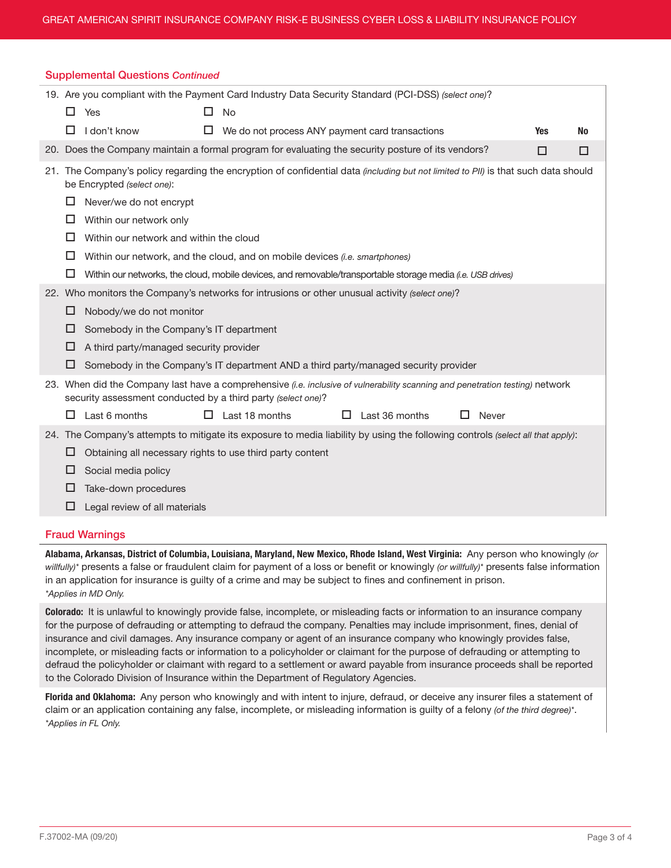| <b>Supplemental Questions Continued</b>                                                             |   |                                                                                                                                                                                               |  |                                                                                                             |   |                |  |       |            |           |
|-----------------------------------------------------------------------------------------------------|---|-----------------------------------------------------------------------------------------------------------------------------------------------------------------------------------------------|--|-------------------------------------------------------------------------------------------------------------|---|----------------|--|-------|------------|-----------|
| 19. Are you compliant with the Payment Card Industry Data Security Standard (PCI-DSS) (select one)? |   |                                                                                                                                                                                               |  |                                                                                                             |   |                |  |       |            |           |
|                                                                                                     | □ | Yes                                                                                                                                                                                           |  | <b>No</b>                                                                                                   |   |                |  |       |            |           |
|                                                                                                     | H | I don't know                                                                                                                                                                                  |  | We do not process ANY payment card transactions                                                             |   |                |  |       | <b>Yes</b> | <b>No</b> |
|                                                                                                     |   | 20. Does the Company maintain a formal program for evaluating the security posture of its vendors?                                                                                            |  |                                                                                                             |   |                |  |       | □          | □         |
|                                                                                                     |   | 21. The Company's policy regarding the encryption of confidential data (including but not limited to PII) is that such data should<br>be Encrypted (select one):                              |  |                                                                                                             |   |                |  |       |            |           |
|                                                                                                     | ப | Never/we do not encrypt                                                                                                                                                                       |  |                                                                                                             |   |                |  |       |            |           |
|                                                                                                     | ப | Within our network only                                                                                                                                                                       |  |                                                                                                             |   |                |  |       |            |           |
|                                                                                                     | ப | Within our network and within the cloud                                                                                                                                                       |  |                                                                                                             |   |                |  |       |            |           |
|                                                                                                     | ப | Within our network, and the cloud, and on mobile devices <i>(i.e. smartphones)</i>                                                                                                            |  |                                                                                                             |   |                |  |       |            |           |
|                                                                                                     | □ |                                                                                                                                                                                               |  | Within our networks, the cloud, mobile devices, and removable/transportable storage media (i.e. USB drives) |   |                |  |       |            |           |
|                                                                                                     |   | 22. Who monitors the Company's networks for intrusions or other unusual activity (select one)?                                                                                                |  |                                                                                                             |   |                |  |       |            |           |
|                                                                                                     | □ | Nobody/we do not monitor                                                                                                                                                                      |  |                                                                                                             |   |                |  |       |            |           |
|                                                                                                     | ப | Somebody in the Company's IT department                                                                                                                                                       |  |                                                                                                             |   |                |  |       |            |           |
|                                                                                                     | □ | A third party/managed security provider                                                                                                                                                       |  |                                                                                                             |   |                |  |       |            |           |
|                                                                                                     | ⊔ |                                                                                                                                                                                               |  | Somebody in the Company's IT department AND a third party/managed security provider                         |   |                |  |       |            |           |
|                                                                                                     |   | 23. When did the Company last have a comprehensive (i.e. inclusive of vulnerability scanning and penetration testing) network<br>security assessment conducted by a third party (select one)? |  |                                                                                                             |   |                |  |       |            |           |
|                                                                                                     | П | Last 6 months                                                                                                                                                                                 |  | Last 18 months                                                                                              | □ | Last 36 months |  | Never |            |           |
|                                                                                                     |   | 24. The Company's attempts to mitigate its exposure to media liability by using the following controls (select all that apply):                                                               |  |                                                                                                             |   |                |  |       |            |           |
|                                                                                                     | □ | Obtaining all necessary rights to use third party content                                                                                                                                     |  |                                                                                                             |   |                |  |       |            |           |
|                                                                                                     | □ | Social media policy                                                                                                                                                                           |  |                                                                                                             |   |                |  |       |            |           |
|                                                                                                     | ப | Take-down procedures                                                                                                                                                                          |  |                                                                                                             |   |                |  |       |            |           |
|                                                                                                     | ப | Legal review of all materials                                                                                                                                                                 |  |                                                                                                             |   |                |  |       |            |           |

# Fraud Warnings

Alabama, Arkansas, District of Columbia, Louisiana, Maryland, New Mexico, Rhode Island, West Virginia: Any person who knowingly *(or willfully)\** presents a false or fraudulent claim for payment of a loss or benefit or knowingly *(or willfully)\** presents false information in an application for insurance is guilty of a crime and may be subject to fines and confinement in prison. *\*Applies in MD Only.*

Colorado: It is unlawful to knowingly provide false, incomplete, or misleading facts or information to an insurance company for the purpose of defrauding or attempting to defraud the company. Penalties may include imprisonment, fines, denial of insurance and civil damages. Any insurance company or agent of an insurance company who knowingly provides false, incomplete, or misleading facts or information to a policyholder or claimant for the purpose of defrauding or attempting to defraud the policyholder or claimant with regard to a settlement or award payable from insurance proceeds shall be reported to the Colorado Division of Insurance within the Department of Regulatory Agencies.

Florida and Oklahoma: Any person who knowingly and with intent to injure, defraud, or deceive any insurer files a statement of claim or an application containing any false, incomplete, or misleading information is guilty of a felony *(of the third degree)\**. *\*Applies in FL Only.*